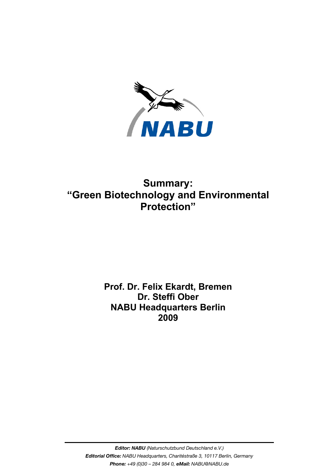

## **Summary: "Green Biotechnology and Environmental Protection"**

## **Prof. Dr. Felix Ekardt, Bremen Dr. Steffi Ober NABU Headquarters Berlin 2009**

*Editor: NABU (Naturschutzbund Deutschland e.V.) Editorial Office: NABU Headquarters, Charitéstraße 3, 10117 Berlin, Germany Phone: +49 (0)30 – 284 984 0, eMail: NABU@NABU.de*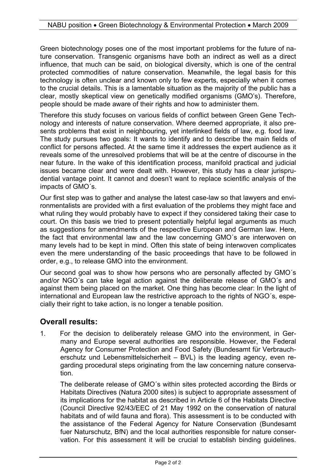Green biotechnology poses one of the most important problems for the future of nature conservation. Transgenic organisms have both an indirect as well as a direct influence, that much can be said, on biological diversity, which is one of the central protected commodities of nature conservation. Meanwhile, the legal basis for this technology is often unclear and known only to few experts, especially when it comes to the crucial details. This is a lamentable situation as the majority of the public has a clear, mostly skeptical view on genetically modified organisms (GMO's). Therefore, people should be made aware of their rights and how to administer them.

Therefore this study focuses on various fields of conflict between Green Gene Technology and interests of nature conservation. Where deemed appropriate, it also presents problems that exist in neighbouring, yet interlinked fields of law, e.g. food law. The study pursues two goals: It wants to identify and to describe the main fields of conflict for persons affected. At the same time it addresses the expert audience as it reveals some of the unresolved problems that will be at the centre of discourse in the near future. In the wake of this identification process, manifold practical and judicial issues became clear and were dealt with. However, this study has a clear jurisprudential vantage point. It cannot and doesn't want to replace scientific analysis of the impacts of GMO´s.

Our first step was to gather and analyse the latest case-law so that lawyers and environmentalists are provided with a first evaluation of the problems they might face and what ruling they would probably have to expect if they considered taking their case to court. On this basis we tried to present potentially helpful legal arguments as much as suggestions for amendments of the respective European and German law. Here, the fact that environmental law and the law concerning GMO´s are interwoven on many levels had to be kept in mind. Often this state of being interwoven complicates even the mere understanding of the basic proceedings that have to be followed in order, e.g., to release GMO into the environment.

Our second goal was to show how persons who are personally affected by GMO´s and/or NGO´s can take legal action against the deliberate release of GMO´s and against them being placed on the market. One thing has become clear: In the light of international and European law the restrictive approach to the rights of NGO´s, especially their right to take action, is no longer a tenable position.

## **Overall results:**

1. For the decision to deliberately release GMO into the environment, in Germany and Europe several authorities are responsible. However, the Federal Agency for Consumer Protection and Food Safety (Bundesamt für Verbraucherschutz und Lebensmittelsicherheit – BVL) is the leading agency, even regarding procedural steps originating from the law concerning nature conservation.

The deliberate release of GMO´s within sites protected according the Birds or Habitats Directives (Natura 2000 sites) is subject to appropriate assessment of its implications for the habitat as described in Article 6 of the Habitats Directive (Council Directive 92/43/EEC of 21 May 1992 on the conservation of natural habitats and of wild fauna and flora). This assessment is to be conducted with the assistance of the Federal Agency for Nature Conservation (Bundesamt fuer Naturschutz, BfN) and the local authorities responsible for nature conservation. For this assessment it will be crucial to establish binding guidelines.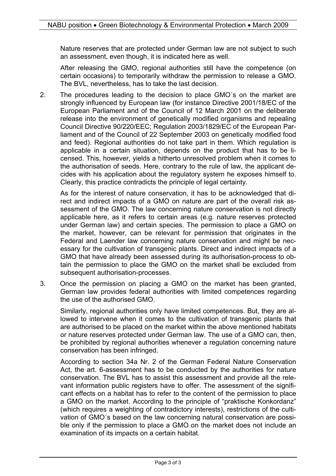Nature reserves that are protected under German law are not subject to such an assessment, even though, it is indicated here as well.

After releasing the GMO, regional authorities still have the competence (on certain occasions) to temporarily withdraw the permission to release a GMO. The BVL, nevertheless, has to take the last decision.

2. The procedures leading to the decision to place GMO´s on the market are strongly influenced by European law (for instance Directive 2001/18/EC of the European Parliament and of the Council of 12 March 2001 on the deliberate release into the environment of genetically modified organisms and repealing Council Directive 90/220/EEC; Regulation 2003/1829/EC of the European Parliament and of the Council of 22 September 2003 on genetically modified food and feed). Regional authorities do not take part in them. Which regulation is applicable in a certain situation, depends on the product that has to be licensed. This, however, yields a hitherto unresolved problem when it comes to the authorisation of seeds. Here, contrary to the rule of law, the applicant decides with his application about the regulatory system he exposes himself to. Clearly, this practice contradicts the principle of legal certainty.

As for the interest of nature conservation, it has to be acknowledged that direct and indirect impacts of a GMO on nature are part of the overall risk assessment of the GMO. The law concerning nature conservation is not directly applicable here, as it refers to certain areas (e.g. nature reserves protected under German law) and certain species. The permission to place a GMO on the market, however, can be relevant for permission that originates in the Federal and Laender law concerning nature conservation and might be necessary for the cultivation of transgenic plants. Direct and indirect impacts of a GMO that have already been assessed during its authorisation-process to obtain the permission to place the GMO on the market shall be excluded from subsequent authorisation-processes.

3. Once the permission on placing a GMO on the market has been granted, German law provides federal authorities with limited competences regarding the use of the authorised GMO.

Similarly, regional authorities only have limited competences. But, they are allowed to intervene when it comes to the cultivation of transgenic plants that are authorised to be placed on the market within the above mentioned habitats or nature reserves protected under German law. The use of a GMO can, then, be prohibited by regional authorities whenever a regulation concerning nature conservation has been infringed.

According to section 34a Nr. 2 of the German Federal Nature Conservation Act, the art. 6-assessment has to be conducted by the authorities for nature conservation. The BVL has to assist this assessment and provide all the relevant information public registers have to offer. The assessment of the significant effects on a habitat has to refer to the content of the permission to place a GMO on the market. According to the principle of "praktische Konkordanz" (which requires a weighting of contradictory interests), restrictions of the cultivation of GMO´s based on the law concerning natural conservation are possible only if the permission to place a GMO on the market does not include an examination of its impacts on a certain habitat.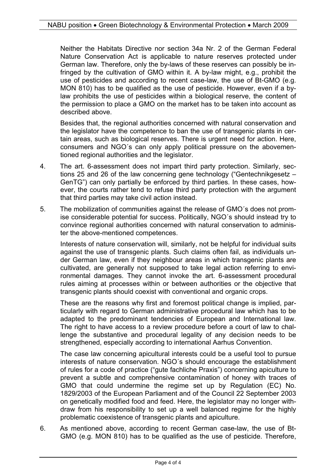Neither the Habitats Directive nor section 34a Nr. 2 of the German Federal Nature Conservation Act is applicable to nature reserves protected under German law. Therefore, only the by-laws of these reserves can possibly be infringed by the cultivation of GMO within it. A by-law might, e.g., prohibit the use of pesticides and according to recent case-law, the use of Bt-GMO (e.g. MON 810) has to be qualified as the use of pesticide. However, even if a bylaw prohibits the use of pesticides within a biological reserve, the content of the permission to place a GMO on the market has to be taken into account as described above.

Besides that, the regional authorities concerned with natural conservation and the legislator have the competence to ban the use of transgenic plants in certain areas, such as biological reserves. There is urgent need for action. Here, consumers and NGO´s can only apply political pressure on the abovementioned regional authorities and the legislator.

- 4. The art. 6-assessment does not impart third party protection. Similarly, sections 25 and 26 of the law concerning gene technology ("Gentechnikgesetz – GenTG") can only partially be enforced by third parties. In these cases, however, the courts rather tend to refuse third party protection with the argument that third parties may take civil action instead.
- 5. The mobilization of communities against the release of GMO´s does not promise considerable potential for success. Politically, NGO´s should instead try to convince regional authorities concerned with natural conservation to administer the above-mentioned competences.

Interests of nature conservation will, similarly, not be helpful for individual suits against the use of transgenic plants. Such claims often fail, as individuals under German law, even if they neighbour areas in which transgenic plants are cultivated, are generally not supposed to take legal action referring to environmental damages. They cannot invoke the art. 6-assessment procedural rules aiming at processes within or between authorities or the objective that transgenic plants should coexist with conventional and organic crops.

These are the reasons why first and foremost political change is implied, particularly with regard to German administrative procedural law which has to be adapted to the predominant tendencies of European and International law. The right to have access to a review procedure before a court of law to challenge the substantive and procedural legality of any decision needs to be strengthened, especially according to international Aarhus Convention.

The case law concerning apicultural interests could be a useful tool to pursue interests of nature conservation. NGO´s should encourage the establishment of rules for a code of practice ("gute fachliche Praxis") concerning apiculture to prevent a subtle and comprehensive contamination of honey with traces of GMO that could undermine the regime set up by Regulation (EC) No. 1829/2003 of the European Parliament and of the Council 22 September 2003 on genetically modified food and feed. Here, the legislator may no longer withdraw from his responsibility to set up a well balanced regime for the highly problematic coexistence of transgenic plants and apiculture.

6. As mentioned above, according to recent German case-law, the use of Bt-GMO (e.g. MON 810) has to be qualified as the use of pesticide. Therefore,